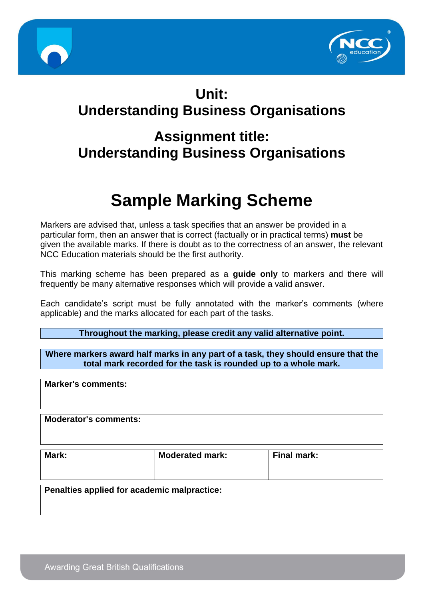



## **Unit: Understanding Business Organisations**

# **Assignment title: Understanding Business Organisations**

# **Sample Marking Scheme**

Markers are advised that, unless a task specifies that an answer be provided in a particular form, then an answer that is correct (factually or in practical terms) **must** be given the available marks. If there is doubt as to the correctness of an answer, the relevant NCC Education materials should be the first authority.

This marking scheme has been prepared as a **guide only** to markers and there will frequently be many alternative responses which will provide a valid answer.

Each candidate's script must be fully annotated with the marker's comments (where applicable) and the marks allocated for each part of the tasks.

**Throughout the marking, please credit any valid alternative point.**

**Where markers award half marks in any part of a task, they should ensure that the total mark recorded for the task is rounded up to a whole mark.**

| <b>Marker's comments:</b>    |                                             |                    |  |
|------------------------------|---------------------------------------------|--------------------|--|
| <b>Moderator's comments:</b> |                                             |                    |  |
| Mark:                        | <b>Moderated mark:</b>                      | <b>Final mark:</b> |  |
|                              | Penalties applied for academic malpractice: |                    |  |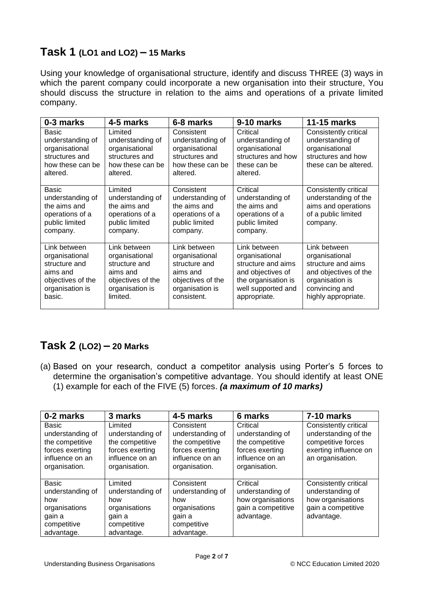## **Task 1 (LO1 and LO2) – 15 Marks**

Using your knowledge of organisational structure, identify and discuss THREE (3) ways in which the parent company could incorporate a new organisation into their structure, You should discuss the structure in relation to the aims and operations of a private limited company.

| 0-3 marks                                                                                                     | 4-5 marks                                                                                                       | 6-8 marks                                                                                                          | 9-10 marks                                                                                                                             | <b>11-15 marks</b>                                                                                                                        |
|---------------------------------------------------------------------------------------------------------------|-----------------------------------------------------------------------------------------------------------------|--------------------------------------------------------------------------------------------------------------------|----------------------------------------------------------------------------------------------------------------------------------------|-------------------------------------------------------------------------------------------------------------------------------------------|
| Basic<br>understanding of<br>organisational<br>structures and<br>how these can be<br>altered.                 | Limited<br>understanding of<br>organisational<br>structures and<br>how these can be<br>altered.                 | Consistent<br>understanding of<br>organisational<br>structures and<br>how these can be<br>altered.                 | Critical<br>understanding of<br>organisational<br>structures and how<br>these can be<br>altered.                                       | Consistently critical<br>understanding of<br>organisational<br>structures and how<br>these can be altered.                                |
| Basic<br>understanding of<br>the aims and<br>operations of a<br>public limited<br>company.                    | Limited<br>understanding of<br>the aims and<br>operations of a<br>public limited<br>company.                    | Consistent<br>understanding of<br>the aims and<br>operations of a<br>public limited<br>company.                    | Critical<br>understanding of<br>the aims and<br>operations of a<br>public limited<br>company.                                          | Consistently critical<br>understanding of the<br>aims and operations<br>of a public limited<br>company.                                   |
| Link between<br>organisational<br>structure and<br>aims and<br>objectives of the<br>organisation is<br>basic. | Link between<br>organisational<br>structure and<br>aims and<br>objectives of the<br>organisation is<br>limited. | Link between<br>organisational<br>structure and<br>aims and<br>objectives of the<br>organisation is<br>consistent. | Link between<br>organisational<br>structure and aims<br>and objectives of<br>the organisation is<br>well supported and<br>appropriate. | Link between<br>organisational<br>structure and aims<br>and objectives of the<br>organisation is<br>convincing and<br>highly appropriate. |

#### **Task 2 (LO2) – 20 Marks**

(a) Based on your research, conduct a competitor analysis using Porter's 5 forces to determine the organisation's competitive advantage. You should identify at least ONE (1) example for each of the FIVE (5) forces. *(a maximum of 10 marks)*

| 0-2 marks                                                                                           | 3 marks                                                                                               | 4-5 marks                                                                                                | 6 marks                                                                                                | 7-10 marks                                                                                                       |
|-----------------------------------------------------------------------------------------------------|-------------------------------------------------------------------------------------------------------|----------------------------------------------------------------------------------------------------------|--------------------------------------------------------------------------------------------------------|------------------------------------------------------------------------------------------------------------------|
| Basic<br>understanding of<br>the competitive<br>forces exerting<br>influence on an<br>organisation. | Limited<br>understanding of<br>the competitive<br>forces exerting<br>influence on an<br>organisation. | Consistent<br>understanding of<br>the competitive<br>forces exerting<br>influence on an<br>organisation. | Critical<br>understanding of<br>the competitive<br>forces exerting<br>influence on an<br>organisation. | Consistently critical<br>understanding of the<br>competitive forces<br>exerting influence on<br>an organisation. |
| <b>Basic</b><br>understanding of<br>how<br>organisations<br>gain a<br>competitive<br>advantage.     | Limited<br>understanding of<br>how<br>organisations<br>gain a<br>competitive<br>advantage.            | Consistent<br>understanding of<br>how<br>organisations<br>gain a<br>competitive<br>advantage.            | Critical<br>understanding of<br>how organisations<br>gain a competitive<br>advantage.                  | Consistently critical<br>understanding of<br>how organisations<br>gain a competitive<br>advantage.               |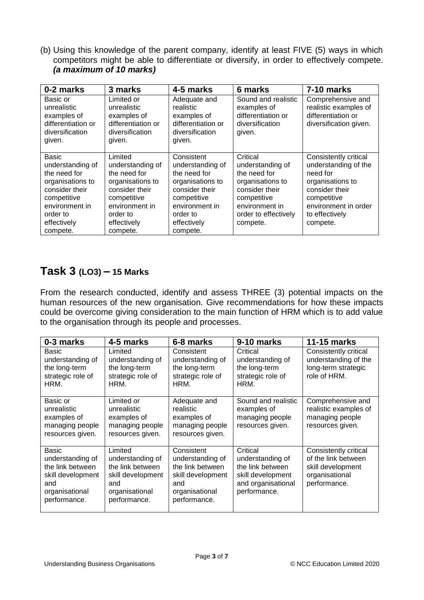(b) Using this knowledge of the parent company, identify at least FIVE (5) ways in which competitors might be able to differentiate or diversify, in order to effectively compete. *(a maximum of 10 marks)*

| 0-2 marks                                                                                                                                                      | 3 marks                                                                                                                                                   | 4-5 marks                                                                                                                                                    | 6 marks                                                                                                                                                 | 7-10 marks                                                                                                                                                           |
|----------------------------------------------------------------------------------------------------------------------------------------------------------------|-----------------------------------------------------------------------------------------------------------------------------------------------------------|--------------------------------------------------------------------------------------------------------------------------------------------------------------|---------------------------------------------------------------------------------------------------------------------------------------------------------|----------------------------------------------------------------------------------------------------------------------------------------------------------------------|
| Basic or<br>unrealistic<br>examples of<br>differentiation or<br>diversification<br>given.                                                                      | Limited or<br>unrealistic<br>examples of<br>differentiation or<br>diversification<br>given.                                                               | Adequate and<br>realistic<br>examples of<br>differentiation or<br>diversification<br>given.                                                                  | Sound and realistic<br>examples of<br>differentiation or<br>diversification<br>given.                                                                   | Comprehensive and<br>realistic examples of<br>differentiation or<br>diversification given.                                                                           |
| <b>Basic</b><br>understanding of<br>the need for<br>organisations to<br>consider their<br>competitive<br>environment in<br>order to<br>effectively<br>compete. | Limited<br>understanding of<br>the need for<br>organisations to<br>consider their<br>competitive<br>environment in<br>order to<br>effectively<br>compete. | Consistent<br>understanding of<br>the need for<br>organisations to<br>consider their<br>competitive<br>environment in<br>order to<br>effectively<br>compete. | Critical<br>understanding of<br>the need for<br>organisations to<br>consider their<br>competitive<br>environment in<br>order to effectively<br>compete. | Consistently critical<br>understanding of the<br>need for<br>organisations to<br>consider their<br>competitive<br>environment in order<br>to effectively<br>compete. |

#### **Task 3 (LO3) – 15 Marks**

From the research conducted, identify and assess THREE (3) potential impacts on the human resources of the new organisation. Give recommendations for how these impacts could be overcome giving consideration to the main function of HRM which is to add value to the organisation through its people and processes.

| 0-3 marks                                                                                                          | 4-5 marks                                                                                                     | 6-8 marks                                                                                                        | 9-10 marks                                                                                                  | <b>11-15 marks</b>                                                                                  |
|--------------------------------------------------------------------------------------------------------------------|---------------------------------------------------------------------------------------------------------------|------------------------------------------------------------------------------------------------------------------|-------------------------------------------------------------------------------------------------------------|-----------------------------------------------------------------------------------------------------|
| <b>Basic</b><br>understanding of<br>the long-term<br>strategic role of<br>HRM.                                     | Limited<br>understanding of<br>the long-term<br>strategic role of<br>HRM.                                     | Consistent<br>understanding of<br>the long-term<br>strategic role of<br>HRM.                                     | Critical<br>understanding of<br>the long-term<br>strategic role of<br>HRM.                                  | Consistently critical<br>understanding of the<br>long-term strategic<br>role of HRM.                |
| Basic or<br>unrealistic<br>examples of<br>managing people<br>resources given.                                      | Limited or<br>unrealistic<br>examples of<br>managing people<br>resources given.                               | Adequate and<br>realistic<br>examples of<br>managing people<br>resources given.                                  | Sound and realistic<br>examples of<br>managing people<br>resources given.                                   | Comprehensive and<br>realistic examples of<br>managing people<br>resources given.                   |
| <b>Basic</b><br>understanding of<br>the link between<br>skill development<br>and<br>organisational<br>performance. | Limited<br>understanding of<br>the link between<br>skill development<br>and<br>organisational<br>performance. | Consistent<br>understanding of<br>the link between<br>skill development<br>and<br>organisational<br>performance. | Critical<br>understanding of<br>the link between<br>skill development<br>and organisational<br>performance. | Consistently critical<br>of the link between<br>skill development<br>organisational<br>performance. |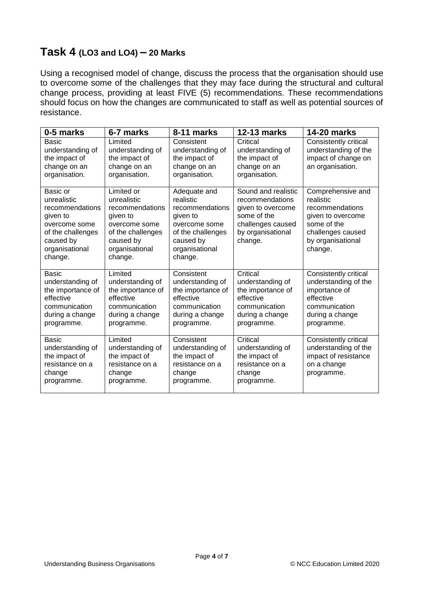#### **Task 4 (LO3 and LO4) – 20 Marks**

Using a recognised model of change, discuss the process that the organisation should use to overcome some of the challenges that they may face during the structural and cultural change process, providing at least FIVE (5) recommendations. These recommendations should focus on how the changes are communicated to staff as well as potential sources of resistance.

| 0-5 marks                                                                                                                              | 6-7 marks                                                                                                                                | 8-11 marks                                                                                                                               | <b>12-13 marks</b>                                                                                                              | <b>14-20 marks</b>                                                                                                                         |
|----------------------------------------------------------------------------------------------------------------------------------------|------------------------------------------------------------------------------------------------------------------------------------------|------------------------------------------------------------------------------------------------------------------------------------------|---------------------------------------------------------------------------------------------------------------------------------|--------------------------------------------------------------------------------------------------------------------------------------------|
| Basic<br>understanding of<br>the impact of<br>change on an<br>organisation.                                                            | Limited<br>understanding of<br>the impact of<br>change on an<br>organisation.                                                            | Consistent<br>understanding of<br>the impact of<br>change on an<br>organisation.                                                         | Critical<br>understanding of<br>the impact of<br>change on an<br>organisation.                                                  | Consistently critical<br>understanding of the<br>impact of change on<br>an organisation.                                                   |
| Basic or<br>unrealistic<br>recommendations<br>given to<br>overcome some<br>of the challenges<br>caused by<br>organisational<br>change. | Limited or<br>unrealistic<br>recommendations<br>given to<br>overcome some<br>of the challenges<br>caused by<br>organisational<br>change. | Adequate and<br>realistic<br>recommendations<br>given to<br>overcome some<br>of the challenges<br>caused by<br>organisational<br>change. | Sound and realistic<br>recommendations<br>given to overcome<br>some of the<br>challenges caused<br>by organisational<br>change. | Comprehensive and<br>realistic<br>recommendations<br>given to overcome<br>some of the<br>challenges caused<br>by organisational<br>change. |
| Basic<br>understanding of<br>the importance of<br>effective<br>communication<br>during a change<br>programme.                          | Limited<br>understanding of<br>the importance of<br>effective<br>communication<br>during a change<br>programme.                          | Consistent<br>understanding of<br>the importance of<br>effective<br>communication<br>during a change<br>programme.                       | Critical<br>understanding of<br>the importance of<br>effective<br>communication<br>during a change<br>programme.                | Consistently critical<br>understanding of the<br>importance of<br>effective<br>communication<br>during a change<br>programme.              |
| <b>Basic</b><br>understanding of<br>the impact of<br>resistance on a<br>change<br>programme.                                           | Limited<br>understanding of<br>the impact of<br>resistance on a<br>change<br>programme.                                                  | Consistent<br>understanding of<br>the impact of<br>resistance on a<br>change<br>programme.                                               | Critical<br>understanding of<br>the impact of<br>resistance on a<br>change<br>programme.                                        | Consistently critical<br>understanding of the<br>impact of resistance<br>on a change<br>programme.                                         |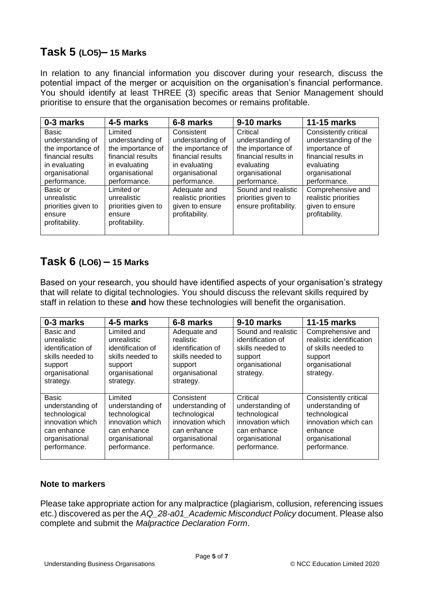#### **Task 5 (LO5)– 15 Marks**

In relation to any financial information you discover during your research, discuss the potential impact of the merger or acquisition on the organisation's financial performance. You should identify at least THREE (3) specific areas that Senior Management should prioritise to ensure that the organisation becomes or remains profitable.

| 0-3 marks                                                                                                              | 4-5 marks                                                                                                                | 6-8 marks                                                                                                                   | 9-10 marks                                                                                                                | <b>11-15 marks</b>                                                                                                                     |
|------------------------------------------------------------------------------------------------------------------------|--------------------------------------------------------------------------------------------------------------------------|-----------------------------------------------------------------------------------------------------------------------------|---------------------------------------------------------------------------------------------------------------------------|----------------------------------------------------------------------------------------------------------------------------------------|
| Basic<br>understanding of<br>the importance of<br>financial results<br>in evaluating<br>organisational<br>performance. | Limited<br>understanding of<br>the importance of<br>financial results<br>in evaluating<br>organisational<br>performance. | Consistent<br>understanding of<br>the importance of<br>financial results<br>in evaluating<br>organisational<br>performance. | Critical<br>understanding of<br>the importance of<br>financial results in<br>evaluating<br>organisational<br>performance. | Consistently critical<br>understanding of the<br>importance of<br>financial results in<br>evaluating<br>organisational<br>performance. |
| Basic or<br>unrealistic<br>priorities given to<br>ensure<br>profitability.                                             | Limited or<br>unrealistic<br>priorities given to<br>ensure<br>profitability.                                             | Adequate and<br>realistic priorities<br>given to ensure<br>profitability.                                                   | Sound and realistic<br>priorities given to<br>ensure profitability.                                                       | Comprehensive and<br>realistic priorities<br>given to ensure<br>profitability.                                                         |

#### **Task 6 (LO6) – 15 Marks**

Based on your research, you should have identified aspects of your organisation's strategy that will relate to digital technologies. You should discuss the relevant skills required by staff in relation to these **and** how these technologies will benefit the organisation.

| 0-3 marks                                                                                                              | 4-5 marks                                                                                                         | 6-8 marks                                                                                                            | 9-10 marks                                                                                                         | <b>11-15 marks</b>                                                                                                              |
|------------------------------------------------------------------------------------------------------------------------|-------------------------------------------------------------------------------------------------------------------|----------------------------------------------------------------------------------------------------------------------|--------------------------------------------------------------------------------------------------------------------|---------------------------------------------------------------------------------------------------------------------------------|
| Basic and<br>unrealistic<br>identification of<br>skills needed to<br>support<br>organisational<br>strategy.            | Limited and<br>unrealistic<br>identification of<br>skills needed to<br>support<br>organisational<br>strategy.     | Adequate and<br>realistic<br>identification of<br>skills needed to<br>support<br>organisational<br>strategy.         | Sound and realistic<br>identification of<br>skills needed to<br>support<br>organisational<br>strategy.             | Comprehensive and<br>realistic identification<br>of skills needed to<br>support<br>organisational<br>strategy.                  |
| <b>Basic</b><br>understanding of<br>technological<br>innovation which<br>can enhance<br>organisational<br>performance. | Limited<br>understanding of<br>technological<br>innovation which<br>can enhance<br>organisational<br>performance. | Consistent<br>understanding of<br>technological<br>innovation which<br>can enhance<br>organisational<br>performance. | Critical<br>understanding of<br>technological<br>innovation which<br>can enhance<br>organisational<br>performance. | Consistently critical<br>understanding of<br>technological<br>innovation which can<br>enhance<br>organisational<br>performance. |

#### **Note to markers**

Please take appropriate action for any malpractice (plagiarism, collusion, referencing issues etc.) discovered as per the *AQ\_28-a01\_Academic Misconduct Policy* document. Please also complete and submit the *Malpractice Declaration Form*.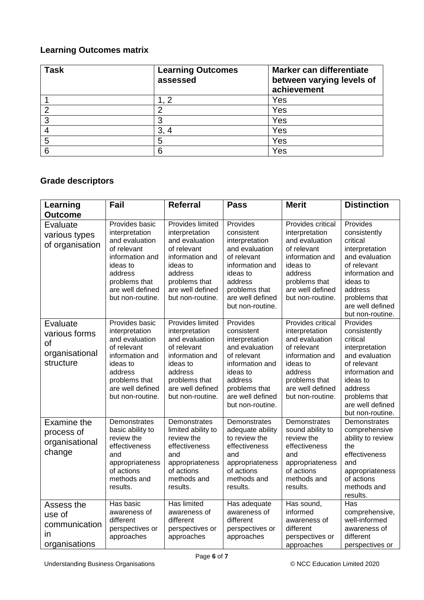#### **Learning Outcomes matrix**

| <b>Task</b> | <b>Learning Outcomes</b><br>assessed | Marker can differentiate<br>between varying levels of<br>achievement |
|-------------|--------------------------------------|----------------------------------------------------------------------|
|             |                                      | Yes                                                                  |
| o           | າ                                    | Yes                                                                  |
| 3           | 3                                    | Yes                                                                  |
|             | 3,                                   | Yes                                                                  |
| 5           | 5                                    | Yes                                                                  |
| 6           | 6                                    | Yes                                                                  |

## **Grade descriptors**

| Learning                                                              | Fail                                                                                                                                                                 | <b>Referral</b>                                                                                                                                                               | <b>Pass</b>                                                                                                                                                                  | <b>Merit</b>                                                                                                                                                            | <b>Distinction</b>                                                                                                                                                                         |
|-----------------------------------------------------------------------|----------------------------------------------------------------------------------------------------------------------------------------------------------------------|-------------------------------------------------------------------------------------------------------------------------------------------------------------------------------|------------------------------------------------------------------------------------------------------------------------------------------------------------------------------|-------------------------------------------------------------------------------------------------------------------------------------------------------------------------|--------------------------------------------------------------------------------------------------------------------------------------------------------------------------------------------|
| <b>Outcome</b>                                                        |                                                                                                                                                                      |                                                                                                                                                                               |                                                                                                                                                                              |                                                                                                                                                                         |                                                                                                                                                                                            |
| Evaluate<br>various types<br>of organisation                          | Provides basic<br>interpretation<br>and evaluation<br>of relevant<br>information and<br>ideas to<br>address<br>problems that<br>are well defined<br>but non-routine. | Provides limited<br>interpretation<br>and evaluation<br>of relevant<br>information and<br>ideas to<br>address<br>problems that<br>are well defined<br>but non-routine.        | Provides<br>consistent<br>interpretation<br>and evaluation<br>of relevant<br>information and<br>ideas to<br>address<br>problems that<br>are well defined<br>but non-routine. | Provides critical<br>interpretation<br>and evaluation<br>of relevant<br>information and<br>ideas to<br>address<br>problems that<br>are well defined<br>but non-routine. | Provides<br>consistently<br>critical<br>interpretation<br>and evaluation<br>of relevant<br>information and<br>ideas to<br>address<br>problems that<br>are well defined<br>but non-routine. |
| Evaluate<br>various forms<br><b>of</b><br>organisational<br>structure | Provides basic<br>interpretation<br>and evaluation<br>of relevant<br>information and<br>ideas to<br>address<br>problems that<br>are well defined<br>but non-routine. | <b>Provides limited</b><br>interpretation<br>and evaluation<br>of relevant<br>information and<br>ideas to<br>address<br>problems that<br>are well defined<br>but non-routine. | Provides<br>consistent<br>interpretation<br>and evaluation<br>of relevant<br>information and<br>ideas to<br>address<br>problems that<br>are well defined<br>but non-routine. | Provides critical<br>interpretation<br>and evaluation<br>of relevant<br>information and<br>ideas to<br>address<br>problems that<br>are well defined<br>but non-routine. | Provides<br>consistently<br>critical<br>interpretation<br>and evaluation<br>of relevant<br>information and<br>ideas to<br>address<br>problems that<br>are well defined<br>but non-routine. |
| Examine the<br>process of<br>organisational<br>change                 | Demonstrates<br>basic ability to<br>review the<br>effectiveness<br>and<br>appropriateness<br>of actions<br>methods and<br>results.                                   | Demonstrates<br>limited ability to<br>review the<br>effectiveness<br>and<br>appropriateness<br>of actions<br>methods and<br>results.                                          | Demonstrates<br>adequate ability<br>to review the<br>effectiveness<br>and<br>appropriateness<br>of actions<br>methods and<br>results.                                        | Demonstrates<br>sound ability to<br>review the<br>effectiveness<br>and<br>appropriateness<br>of actions<br>methods and<br>results.                                      | Demonstrates<br>comprehensive<br>ability to review<br>the<br>effectiveness<br>and<br>appropriateness<br>of actions<br>methods and<br>results.                                              |
| Assess the<br>use of<br>communication<br>in<br>organisations          | Has basic<br>awareness of<br>different<br>perspectives or<br>approaches                                                                                              | Has limited<br>awareness of<br>different<br>perspectives or<br>approaches                                                                                                     | Has adequate<br>awareness of<br>different<br>perspectives or<br>approaches                                                                                                   | Has sound,<br>informed<br>awareness of<br>different<br>perspectives or<br>approaches                                                                                    | Has<br>comprehensive,<br>well-informed<br>awareness of<br>different<br>perspectives or                                                                                                     |